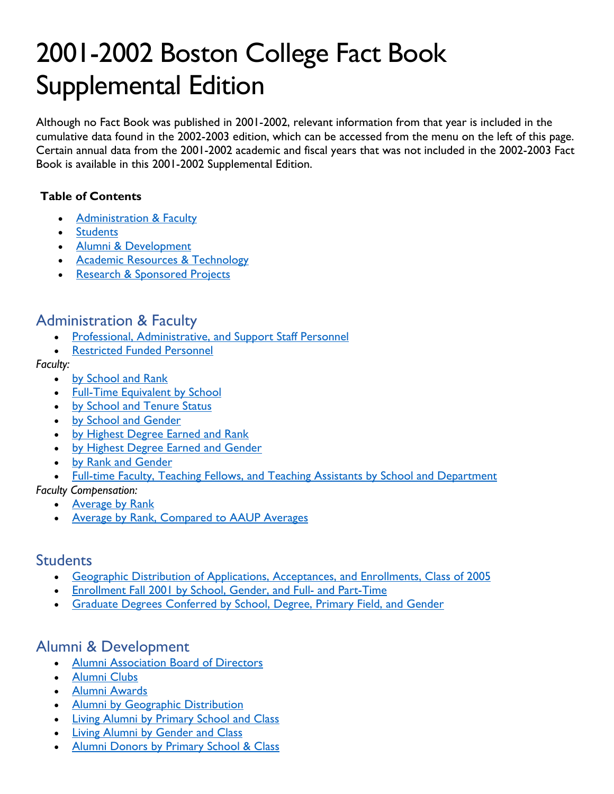# 2001-2002 Boston College Fact Book Supplemental Edition

Although no Fact Book was published in 2001-2002, relevant information from that year is included in the cumulative data found in the 2002-2003 edition, which can be accessed from the menu on the left of this page. Certain annual data from the 2001-2002 academic and fiscal years that was not included in the 2002-2003 Fact Book is available in this 2001-2002 Supplemental Edition.

#### **Table of Contents**

- [Administration & Faculty](#page-0-0)
- [Students](#page-0-1)
- [Alumni & Development](#page-0-2)
- [Academic Resources & Technology](#page-1-0)
- [Research & Sponsored Projects](#page-1-1)

## <span id="page-0-0"></span>Administration & Faculty

- [Professional, Administrative, and Support Staff Personnel](https://www.bc.edu/content/dam/files/publications/factbook/pdf/01_02/2001_staff_numbers.pdf)
- [Restricted Funded Personnel](https://www.bc.edu/content/dam/files/publications/factbook/pdf/01_02/2001_staff_numbers.pdf)

#### *Faculty:*

- [by School and Rank](https://www.bc.edu/content/dam/files/publications/factbook/pdf/01_02/2001_faculty_1.pdf)
- [Full-Time Equivalent by School](https://www.bc.edu/content/dam/files/publications/factbook/pdf/01_02/2001_faculty_1.pdf)
- [by School and Tenure Status](https://www.bc.edu/content/dam/files/publications/factbook/pdf/01_02/2001_faculty_1.pdf)
- [by School and Gender](https://www.bc.edu/content/dam/files/publications/factbook/pdf/01_02/2001_faculty_2.pdf)
- [by Highest Degree Earned and Rank](https://www.bc.edu/content/dam/files/publications/factbook/pdf/01_02/2001_faculty_2.pdf)
- [by Highest Degree Earned and Gender](https://www.bc.edu/content/dam/files/publications/factbook/pdf/01_02/2001_faculty_2.pdf)
- [by Rank and Gender](https://www.bc.edu/content/dam/files/publications/factbook/pdf/01_02/2001_faculty_3.pdf)
- [Full-time Faculty, Teaching Fellows, and Teaching Assistants by School and Department](https://www.bc.edu/content/dam/files/publications/factbook/pdf/01_02/2001_faculty_3.pdf)

*Faculty Compensation:*

- [Average by Rank](https://www.bc.edu/content/dam/files/publications/factbook/pdf/01_02/2001_faculty_compensation.pdf)
- [Average by Rank, Compared to AAUP Averages](https://www.bc.edu/content/dam/files/publications/factbook/pdf/01_02/2001_faculty_compensation.pdf)

### <span id="page-0-1"></span>**Students**

- [Geographic Distribution of Applications, Acceptances, and Enrollments, Class of 2005](https://www.bc.edu/content/dam/files/publications/factbook/pdf/01_02/2001_class_of_2005_apps_accepts.pdf)
- [Enrollment Fall 2001 by School, Gender, and Full- and Part-Time](https://www.bc.edu/content/dam/files/publications/factbook/pdf/01_02/2001_fall_enrollment.pdf)
- [Graduate Degrees Conferred by School, Degree, Primary Field, and Gender](https://www.bc.edu/content/dam/files/publications/factbook/pdf/01_02/2001_graduate_degrees_conferred.pdf)

## <span id="page-0-2"></span>Alumni & Development

- [Alumni Association Board of Directors](https://www.bc.edu/content/dam/files/publications/factbook/pdf/01_02/2001_alumni_directors_awards.pdf)
- [Alumni Clubs](https://www.bc.edu/content/dam/files/publications/factbook/pdf/01_02/2001_alumni_directors_awards.pdf)
- [Alumni Awards](https://www.bc.edu/content/dam/files/publications/factbook/pdf/01_02/2001_alumni_directors_awards.pdf)
- [Alumni by Geographic Distribution](https://www.bc.edu/content/dam/files/publications/factbook/pdf/01_02/2001_alumni_distribution.pdf)
- [Living Alumni by Primary School and](https://www.bc.edu/content/dam/files/publications/factbook/pdf/01_02/2001_living_alumni.pdf) Class
- [Living Alumni by Gender and Class](https://www.bc.edu/content/dam/files/publications/factbook/pdf/01_02/2001_living_alumni_by_gender.pdf)
- [Alumni Donors by Primary School & Class](https://www.bc.edu/content/dam/files/publications/factbook/pdf/01_02/2001_alumni_donors.pdf)